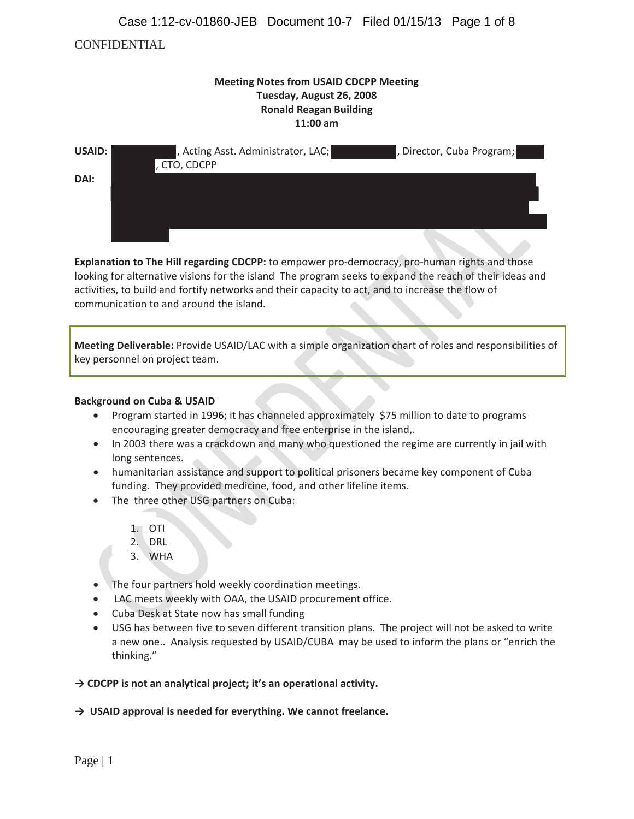## Case 1:12-cv-01860-JEB Document 10-7 Filed 01/15/13 Page 1 of 8

## CONFIDENTIAL

| <b>Meeting Notes from USAID CDCPP Meeting</b><br>Tuesday, August 26, 2008<br><b>Ronald Reagan Building</b><br>11:00 am |                                                    |                           |  |  |
|------------------------------------------------------------------------------------------------------------------------|----------------------------------------------------|---------------------------|--|--|
| USAID:<br>DAI:                                                                                                         | , Acting Asst. Administrator, LAC;<br>, CTO, CDCPP | , Director, Cuba Program; |  |  |
|                                                                                                                        |                                                    | <b>Allen</b>              |  |  |

**Explanation to The Hill regarding CDCPP:** to empower pro-democracy, pro-human rights and those looking for alternative visions for the island The program seeks to expand the reach of their ideas and activities, to build and fortify networks and their capacity to act, and to increase the flow of communication to and around the island.

**Meeting Deliverable:** Provide USAID/LAC with a simple organization chart of roles and responsibilities of key personnel on project team.

#### **Background on Cuba & USAID**

- Program started in 1996; it has channeled approximately \$75 million to date to programs encouraging greater democracy and free enterprise in the island,.
- In 2003 there was a crackdown and many who questioned the regime are currently in jail with long sentences.
- humanitarian assistance and support to political prisoners became key component of Cuba funding. They provided medicine, food, and other lifeline items.
- The three other USG partners on Cuba:
	- 1. OTI
	- 2. DRL
	- 3. WHA
- The four partners hold weekly coordination meetings.
- LAC meets weekly with OAA, the USAID procurement office.
- Cuba Desk at State now has small funding
- USG has between five to seven different transition plans. The project will not be asked to write a new one.. Analysis requested by USAID/CUBA may be used to inform the plans or "enrich the thinking."
- **їCDCPP is not an analytical project; it's an operational activity.**
- **їUSAID approval is needed for everything. We cannot freelance.**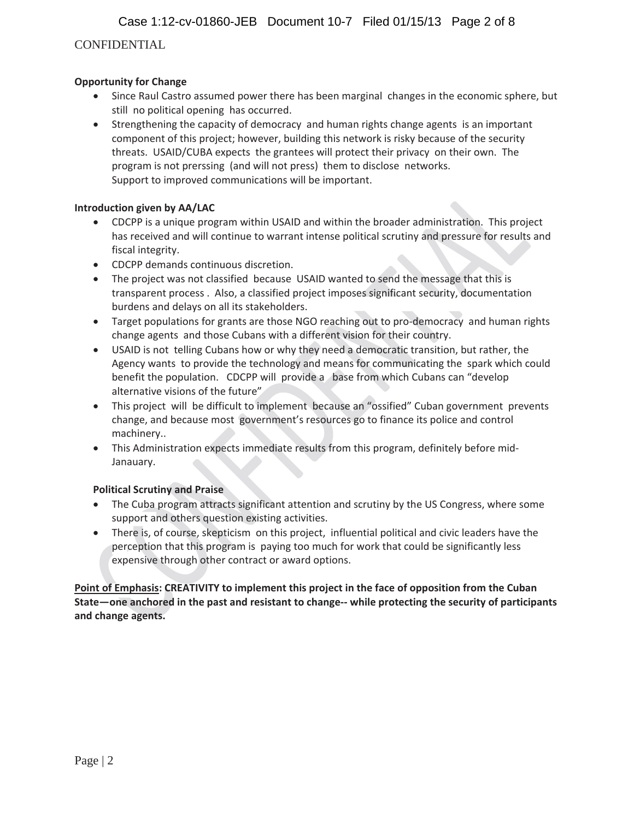Case 1:12-cv-01860-JEB Document 10-7 Filed 01/15/13 Page 2 of 8

# CONFIDENTIAL

## **Opportunity for Change**

- Since Raul Castro assumed power there has been marginal changes in the economic sphere, but still no political opening has occurred.
- Strengthening the capacity of democracy and human rights change agents is an important component of this project; however, building this network is risky because of the security threats. USAID/CUBA expects the grantees will protect their privacy on their own. The program is not prerssing (and will not press) them to disclose networks. Support to improved communications will be important.

### **Introduction given by AA/LAC**

- CDCPP is a unique program within USAID and within the broader administration. This project has received and will continue to warrant intense political scrutiny and pressure for results and fiscal integrity.
- CDCPP demands continuous discretion.
- $\bullet$  The project was not classified because USAID wanted to send the message that this is transparent process .Also, a classified project imposes significant security, documentation burdens and delays on all its stakeholders.
- Target populations for grants are those NGO reaching out to pro-democracy and human rights change agents and those Cubans with a different vision for their country.
- USAID is not telling Cubans how or why they need a democratic transition, but rather, the Agency wants to provide the technology and means for communicating the spark which could benefit the population. CDCPP will provide a base from which Cubans can "develop alternative visions of the future"
- This project will be difficult to implement because an "ossified" Cuban government prevents change, and because most government's resources go to finance its police and control machinery..
- This Administration expects immediate results from this program, definitely before mid-Janauary.

### **Political Scrutiny and Praise**

- The Cuba program attracts significant attention and scrutiny by the US Congress, where some support and others question existing activities.
- There is, of course, skepticism on this project, influential political and civic leaders have the perception that this program is paying too much for work that could be significantly less expensive through other contract or award options.

**Point of Emphasis: CREATIVITY to implement this project in the face of opposition from the Cuban State—one anchored in the past and resistant to changeͲͲwhile protecting the security of participants and change agents.**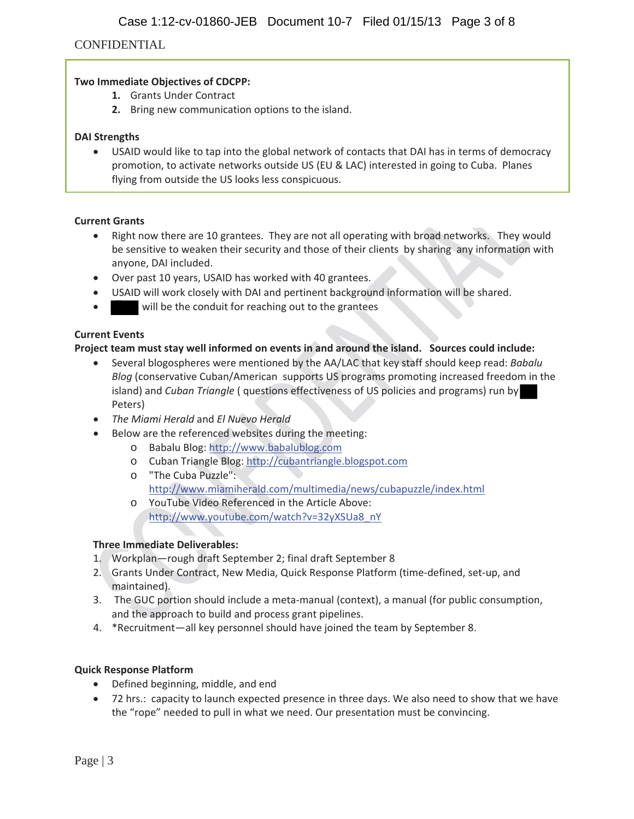## CONFIDENTIAL

### **Two Immediate Objectives of CDCPP:**

- **1.** Grants Under Contract
- **2.** Bring new communication options to the island.

#### **DAI Strengths**

• USAID would like to tap into the global network of contacts that DAI has in terms of democracy promotion, to activate networks outside US (EU & LAC) interested in going to Cuba. Planes flying from outside the US looks less conspicuous.

#### **Current Grants**

- $\bullet$  Right now there are 10 grantees. They are not all operating with broad networks. They would be sensitive to weaken their security and those of their clients by sharing any information with anyone, DAI included.
- Over past 10 years, USAID has worked with 40 grantees.
- USAID will work closely with DAI and pertinent background information will be shared.
- will be the conduit for reaching out to the grantees

### **Current Events**

## **Project team must stay well informed on events in and around the island.Sources could include:**

- x Several blogospheres were mentioned by the AA/LAC that key staff should keep read: *Babalu Blog* (conservative Cuban/American supports US programs promoting increased freedom in the island) and *Cuban Triangle* ( questions effectiveness of US policies and programs) run by Peters)
- x *The Miami Herald* and *El Nuevo Herald*
- Below are the referenced websites during the meeting:
	- o Babalu Blog: http://www.babalublog.com
	- o Cuban Triangle Blog: http://cubantriangle.blogspot.com
	- o "The Cuba Puzzle": http://www.miamiherald.com/multimedia/news/cubapuzzle/index.html
	- o YouTube Video Referenced in the Article Above: http://www.youtube.com/watch?v=32yXSUa8\_nY

### **Three Immediate Deliverables:**

- 1. Workplan—rough draft September 2; final draft September 8
- 2. Grants Under Contract, New Media, Quick Response Platform (time-defined, set-up, and maintained).
- 3. The GUC portion should include a meta-manual (context), a manual (for public consumption, and the approach to build and process grant pipelines.
- 4. \*Recruitment—all key personnel should have joined the team by September 8.

### **Quick Response Platform**

- Defined beginning, middle, and end
- 72 hrs.: capacity to launch expected presence in three days. We also need to show that we have the "rope" needed to pull in what we need. Our presentation must be convincing.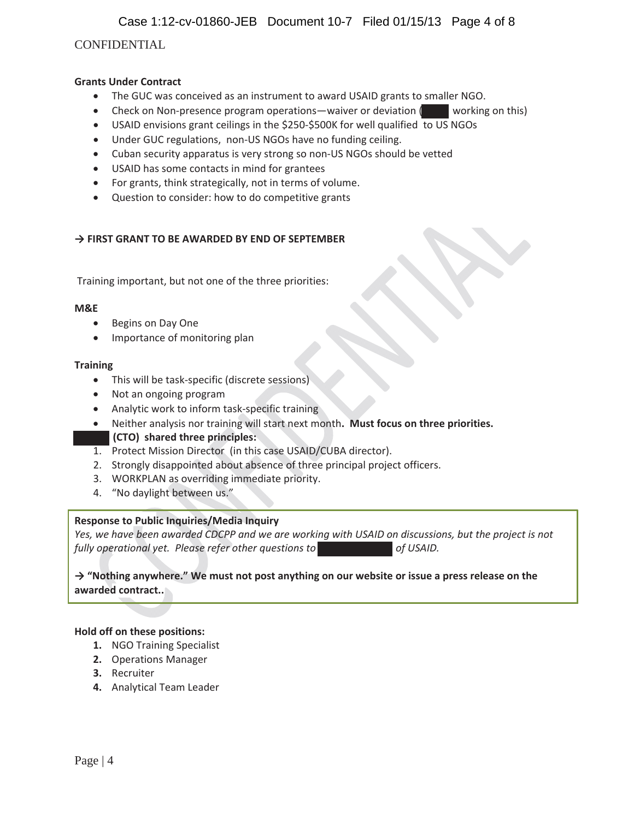Case 1:12-cv-01860-JEB Document 10-7 Filed 01/15/13 Page 4 of 8

## CONFIDENTIAL

### **Grants Under Contract**

- The GUC was conceived as an instrument to award USAID grants to smaller NGO.
- Check on Non-presence program operations—waiver or deviation ( working on this)
- USAID envisions grant ceilings in the \$250-\$500K for well qualified to US NGOs
- Under GUC regulations, non-US NGOs have no funding ceiling.
- Cuban security apparatus is very strong so non-US NGOs should be vetted
- USAID has some contacts in mind for grantees
- $\bullet$  For grants, think strategically, not in terms of volume.
- Question to consider: how to do competitive grants

### **їFIRST GRANT TO BE AWARDED BY END OF SEPTEMBER**

Training important, but not one of the three priorities:

#### **M&E**

- Begins on Day One
- Importance of monitoring plan

#### **Training**

- This will be task-specific (discrete sessions)
- Not an ongoing program
- Analytic work to inform task-specific training
- x Neither analysis nor training will start next month**.Must focus on three priorities.**

### **(CTO)shared three principles:**

- $\overline{1.}$  Protect Mission Director (in this case USAID/CUBA director).
- 2. Strongly disappointed about absence of three principal project officers.
- 3. WORKPLAN as overriding immediate priority.
- 4. "No daylight between us."

### **Response to Public Inquiries/Media Inquiry**

Yes, we have been awarded CDCPP and we are working with USAID on discussions, but the project is not *fully operational yet.Please refer other questions to of USAID.*

## **ї"Nothing anywhere." We must not post anything on our website or issue a press release on the awarded contract..**

#### **Hold off on these positions:**

- **1.** NGO Training Specialist
- **2.** Operations Manager
- **3.** Recruiter
- **4.** Analytical Team Leader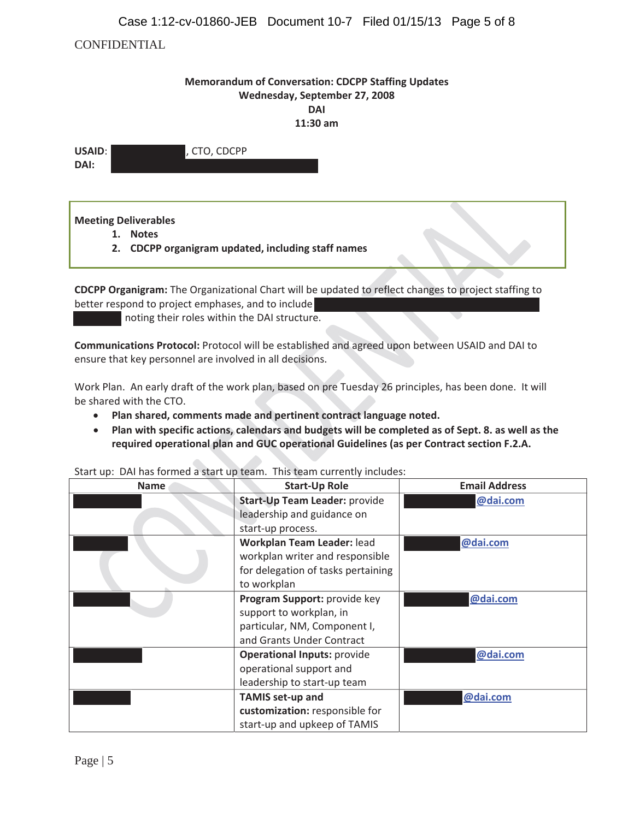## Case 1:12-cv-01860-JEB Document 10-7 Filed 01/15/13 Page 5 of 8

## CONFIDENTIAL

## **Memorandum of Conversation: CDCPP Staffing Updates Wednesday, September 27, 2008 DAI 11:30 am**

| USAID: | , CTO, CDCPP |
|--------|--------------|
| DAI:   |              |

**Meeting Deliverables**

- **1. Notes**
- **2. CDCPP organigram updated, including staff names**

**CDCPP Organigram:** The Organizational Chart will be updated to reflect changes to project staffing to better respond to project emphases, and to include

noting their roles within the DAI structure.

**Communications Protocol:** Protocol will be established and agreed upon between USAID and DAI to ensure that key personnel are involved in all decisions.

Work Plan. An early draft of the work plan, based on pre Tuesday 26 principles, has been done. It will be shared with the CTO.

- x **Plan shared, comments made and pertinent contract language noted.**
- Plan with specific actions, calendars and budgets will be completed as of Sept. 8. as well as the **required operational plan and GUC operational Guidelines (as per Contract section F.2.A.**

| <b>Name</b> | <b>Start-Up Role</b>               | <b>Email Address</b> |
|-------------|------------------------------------|----------------------|
|             | Start-Up Team Leader: provide      | @dai.com             |
|             | leadership and guidance on         |                      |
|             | start-up process.                  |                      |
|             | Workplan Team Leader: lead         | @dai.com             |
|             | workplan writer and responsible    |                      |
|             | for delegation of tasks pertaining |                      |
|             | to workplan                        |                      |
|             | Program Support: provide key       | @dai.com             |
|             | support to workplan, in            |                      |
|             | particular, NM, Component I,       |                      |
|             | and Grants Under Contract          |                      |
|             | <b>Operational Inputs: provide</b> | @dai.com             |
|             | operational support and            |                      |
|             | leadership to start-up team        |                      |
|             | <b>TAMIS set-up and</b>            | @dai.com             |
|             | customization: responsible for     |                      |
|             | start-up and upkeep of TAMIS       |                      |

Start up: DAI has formed a start up team. This team currently includes: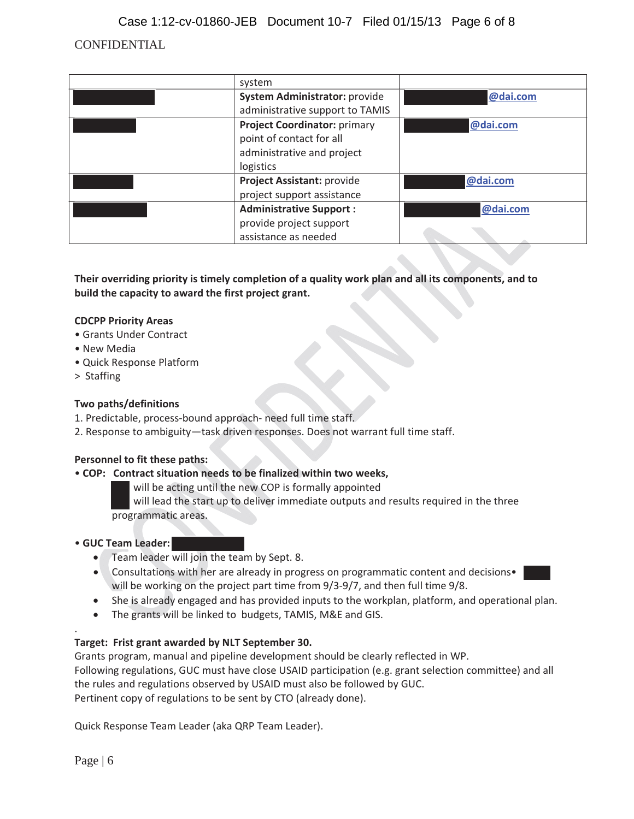CONFIDENTIAL Case 1:12-cv-01860-JEB Document 10-7 Filed 01/15/13 Page 6 of 8

| system                              |          |
|-------------------------------------|----------|
| System Administrator: provide       | @dai.com |
| administrative support to TAMIS     |          |
| <b>Project Coordinator: primary</b> | @dai.com |
| point of contact for all            |          |
| administrative and project          |          |
| logistics                           |          |
| Project Assistant: provide          | @dai.com |
| project support assistance          |          |
| <b>Administrative Support:</b>      | @dai.com |
| provide project support             |          |
| assistance as needed                |          |

**Their overriding priority is timely completion of a quality work plan and all its components, and to build the capacity to award the first project grant.**

### **CDCPP Priority Areas**

- Grants Under Contract
- New Media
- Quick Response Platform
- > Staffing

#### **Two paths/definitions**

- 1. Predictable, process-bound approach- need full time staff.
- 2. Response to ambiguity—task driven responses. Does not warrant full time staff.

#### **Personnel to fit these paths:**

#### • **COP:Contract situation needs to be finalized within two weeks,**

will be acting until the new COP is formally appointed

will lead the start up to deliver immediate outputs and results required in the three programmatic areas.

#### • **GUC Team Leader:**

- Team leader will join the team by Sept. 8.
- Consultations with her are already in progress on programmatic content and decisions• will be working on the project part time from 9/3-9/7, and then full time 9/8.
- She is already engaged and has provided inputs to the workplan, platform, and operational plan.
- The grants will be linked to budgets, TAMIS, M&E and GIS.

### **Target:Frist grant awarded by NLT September 30.**

Grants program, manual and pipeline development should be clearly reflected in WP. Following regulations, GUC must have close USAID participation (e.g. grant selection committee) and all the rules and regulations observed by USAID must also be followed by GUC. Pertinent copy of regulations to be sent by CTO (already done).

Quick Response Team Leader (aka QRP Team Leader).

.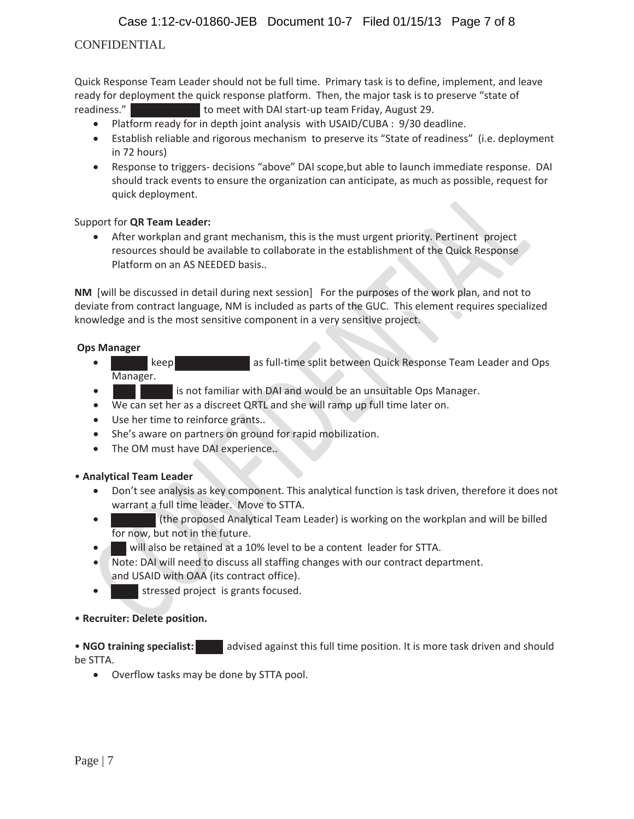# CONFIDENTIAL

Quick Response Team Leader should not be full time. Primary task is to define, implement, and leave ready for deployment the quick response platform. Then, the major task is to preserve "state of readiness." to meet with DAI start-up team Friday, August 29.

- Platform ready for in depth joint analysis with USAID/CUBA : 9/30 deadline.
- Establish reliable and rigorous mechanism to preserve its "State of readiness" (i.e. deployment in 72 hours)
- **•** Response to triggers- decisions "above" DAI scope, but able to launch immediate response. DAI should track events to ensure the organization can anticipate, as much as possible, request for quick deployment.

### Support for **QR Team Leader:**

After workplan and grant mechanism, this is the must urgent priority. Pertinent project resources should be available to collaborate in the establishment of the Quick Response Platform on an AS NEEDED basis..

**NM** [will be discussed in detail during next session] For the purposes of the work plan, and not to deviate from contract language, NM is included as parts of the GUC. This element requires specialized knowledge and is the most sensitive component in a very sensitive project.

### **Ops Manager**

- keep as full-time split between Quick Response Team Leader and Ops Manager.
- is not familiar with DAI and would be an unsuitable Ops Manager.
- We can set her as a discreet QRTL and she will ramp up full time later on.
- Use her time to reinforce grants..
- She's aware on partners on ground for rapid mobilization.
- The OM must have DAI experience..

### • **Analytical Team Leader**

- Don't see analysis as key component. This analytical function is task driven, therefore it does not warrant a full time leader. Move to STTA.
- x (the proposed Analytical Team Leader) is working on the workplan and will be billed for now, but not in the future.
- will also be retained at a 10% level to be a content leader for STTA.
- Note: DAI will need to discuss all staffing changes with our contract department. and USAID with OAA (its contract office).
- **•** stressed project is grants focused.

### • **Recruiter: Delete position.**

• **NGO** training specialist: and advised against this full time position. It is more task driven and should be STTA.

• Overflow tasks may be done by STTA pool.